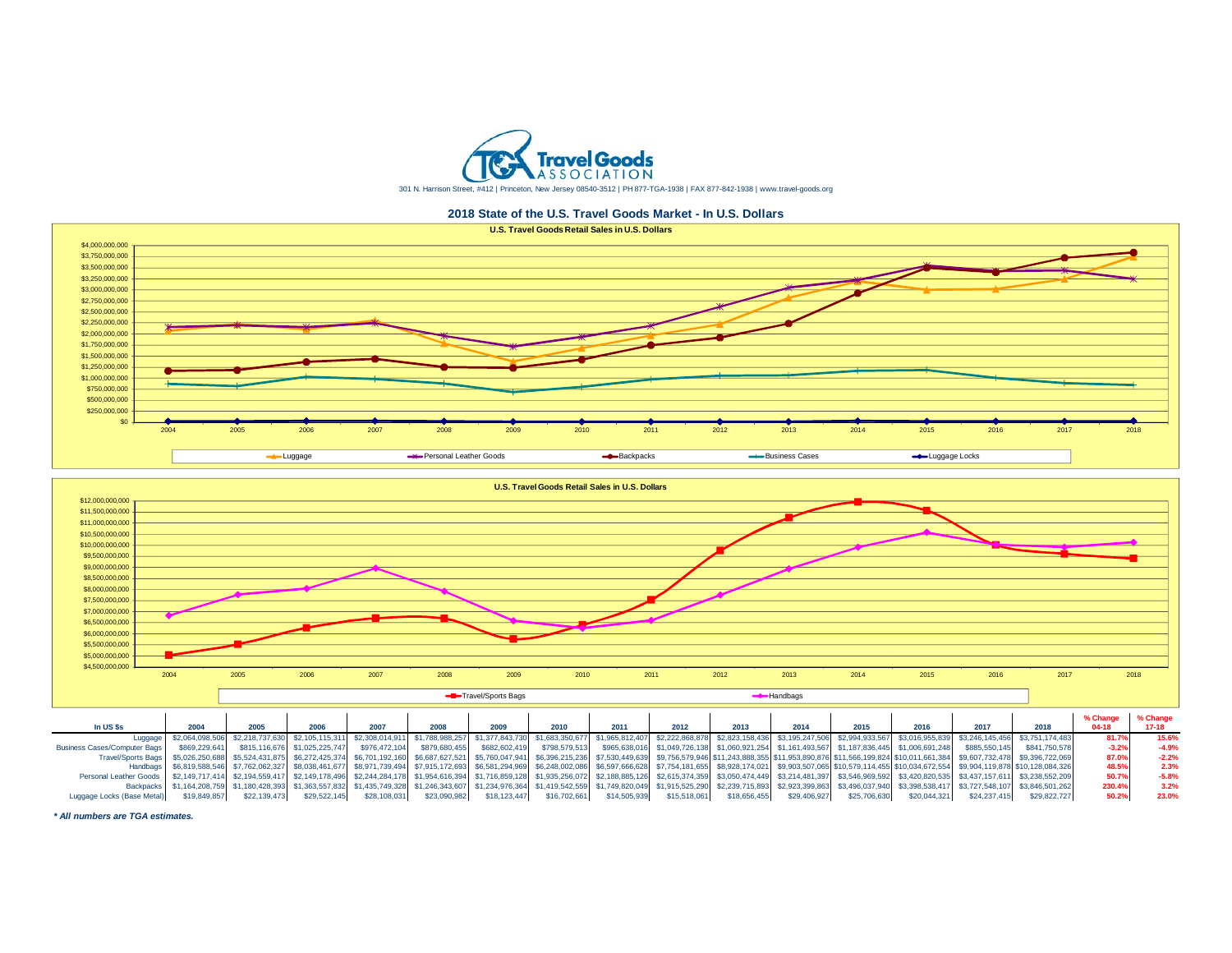

**2018 State of the U.S. Travel Goods Market - In U.S. Dollars**





| In US \$s                                                                                                                                                                                                                                    | 2004          |              |                               | 2007          | 2008          | 2009         | 2010         | 2011         | 2012         | 2013         | 2014         | 2015         | 2016         | 2017         | 2018                                                                                                                                                                                                                                           | $04-18$ | $17-18$ |
|----------------------------------------------------------------------------------------------------------------------------------------------------------------------------------------------------------------------------------------------|---------------|--------------|-------------------------------|---------------|---------------|--------------|--------------|--------------|--------------|--------------|--------------|--------------|--------------|--------------|------------------------------------------------------------------------------------------------------------------------------------------------------------------------------------------------------------------------------------------------|---------|---------|
| Luggage                                                                                                                                                                                                                                      |               |              |                               |               |               |              |              |              |              |              |              |              |              |              | \$2,064,098,506 \$2,218,737,630 \$2,105,115,311 \$2,308,014,911 \$1,788,988,257 \$1,377,843,730 \$1,683,350,677 \$1,965,812,407 \$2,222,868,878 \$2,823,158,436 \$3,195,247,506 \$2,994,933,567 \$3,016,955,839 \$3,246,145,456 \$3,751,174,48 | 81.7%   | 15.6%   |
| <b>Business Cases/Computer Bags</b>                                                                                                                                                                                                          | \$869,229,641 |              | \$815,116,676 \$1,025,225,747 | \$976,472,104 | \$879,680,455 |              |              |              |              |              |              |              |              |              | \$682,602,419 \$798,579,513 \$965,638,016 \$1,049,726,138 \$1,060,921,254 \$1,161,493,567 \$1,187,836,445 \$1,006,691,248 \$885,550,145 \$841,750,578                                                                                          | $-3.2%$ | $-4.9%$ |
| Travel/Sports Bags   \$5,026,250,688 \$5,524,431,875 \$6,272,425,374 \$6,701,192,160 \$6,687,627,521 \$5,760,047,941 \$6,396,215,236 \$7,530,449,639 \$9,756,579,946 \$11,243,888,355 \$11,953,890,876 \$11,566,199,824 \$10,011,661,384 \$9 |               |              |                               |               |               |              |              |              |              |              |              |              |              |              |                                                                                                                                                                                                                                                | 87.0%   | $-2.2%$ |
|                                                                                                                                                                                                                                              |               |              |                               |               |               |              |              |              |              |              |              |              |              |              | Handbags \$6,819,588,546 \$7,762,062,327 \$8,038,461,677 \$8,971,739,494 \$7,915,172,693 \$6,581,294,969 \$6,248,002,086 \$6,597,666,628 \$7,754,181,655 \$8,928,174,021 \$9,903,507,065 \$10,579,114,455 \$10,034,672,554 \$9,904,119,878 \$  | 48.5%   | 2.3%    |
| Personal Leather Goods \$2,149,717,414 \$2,194,559,417 \$2,149,178,496 \$2,244,284,178 \$1,954,616,394 \$1,716,859,128 \$1,376,859,128 \$1,378,585,126 \$2,188,885,126 \$2,615,374,359 \$3,050,474,449 \$3,214,481,397 \$3,546,969,592 \$3,4 |               |              |                               |               |               |              |              |              |              |              |              |              |              |              |                                                                                                                                                                                                                                                | 50.7%   | $-5.8%$ |
|                                                                                                                                                                                                                                              |               |              |                               |               |               |              |              |              |              |              |              |              |              |              | Backpacks \$1,164,208,759 \$1,180,428,393 \$1,363,557,832 \$1,435,749,328 \$1,246,343,607 \$1,234,976,364 \$1,419,542,559 \$1,749,820,049 \$1,915,525,290 \$2,239,715,893 \$2,923,399,863 \$3,496,037,940 \$3,398,538,417 \$3,727,548,107 \$3  | 230.4%  | 3.2%    |
| Luggage Locks (Base Metal)                                                                                                                                                                                                                   | \$19,849,857  | \$22,139,473 | \$29,522,145                  | \$28,108,031  | \$23,090,982  | \$18,123,447 | \$16,702,661 | \$14,505,939 | \$15,518,061 | \$18,656,455 | \$29,406,927 | \$25,706,630 | \$20,044,321 | \$24,237,415 | \$29,822,727                                                                                                                                                                                                                                   | 50.2%   | 23.0%   |

*\* All numbers are TGA estimates.*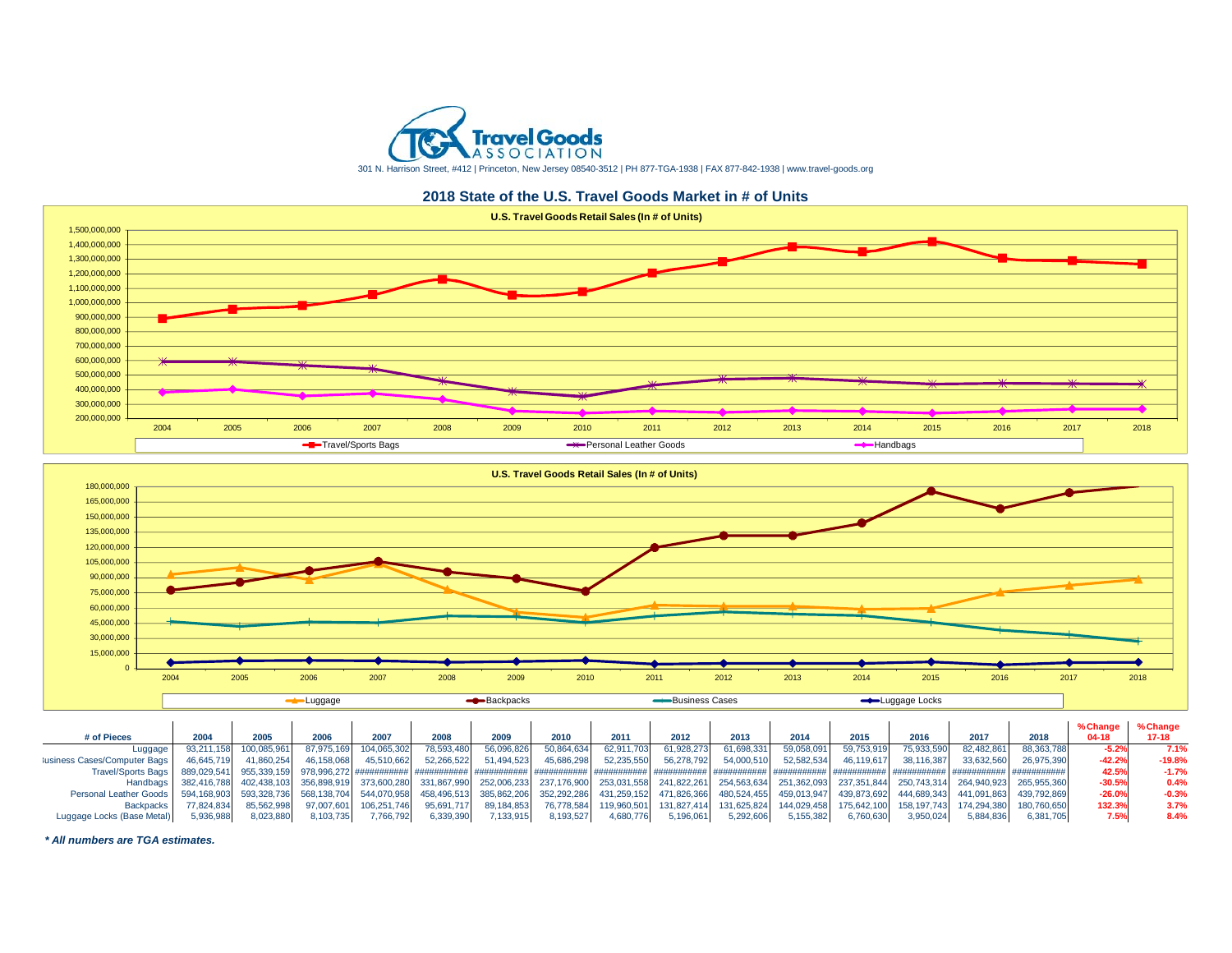

301 N. Harrison Street, #412 | Princeton, New Jersey 08540-3512 | PH 877-TGA-1938 | FAX 877-842-1938 | www.travel-goods.org

**2018 State of the U.S. Travel Goods Market in # of Units**





| # of Pieces                                        | 2004        | 2005                             | 2006       | 2007                    | 2008       | 2009       | 2010       | 2011        | 2012        | 2013        | 2014       | 2015       | 2016       | 2017       |                                                                                                                                     | % Change<br>$04-18$ | % Change<br>17-18 |
|----------------------------------------------------|-------------|----------------------------------|------------|-------------------------|------------|------------|------------|-------------|-------------|-------------|------------|------------|------------|------------|-------------------------------------------------------------------------------------------------------------------------------------|---------------------|-------------------|
| Luqqaqe                                            | 93,211,158  | 100,085,961                      | 87.975.169 | 104,065,302             | 78,593,480 | 56,096,826 | 50,864,634 | 62,911,703  | 61,928,273  | 61.698.331  | 59,058,091 | 59.753.919 | 75,933,590 | 82.482.861 | 88.363.788                                                                                                                          |                     | 7.1%              |
| ausiness Cases/Computer Bags                       | 46.645.719  | 41.860.254                       | 46.158.068 | 45.510.662              | 52.266.522 | 51.494.523 | 45.686.298 | 52.235.550  | 56.278.792  | 54.000.510  | 52.582.534 | 46.119.617 | 38.116.387 | 33.632.560 | 26.975.390                                                                                                                          | $-42.2%$            | $-19.8%$          |
| <b>Travel/Sports Bags</b>                          | 889,029,541 | 955,339,159                      |            |                         |            |            |            |             |             |             |            |            |            |            |                                                                                                                                     | 42.5%               | $-1.7%$           |
|                                                    |             | Handbags 382,416,788 402,438,103 |            | 356.898.919 373.600.280 |            |            |            |             |             |             |            |            |            |            | 331,867,990 252,006,233 237,176,900 253,031,558 241,822,261 254,563,634 251,362,093 237,351,844 250,743,314 264,940,923 265,955,360 | $-30.5%$            | 0.4%              |
| Personal Leather Goods 594, 168, 903 593, 328, 736 |             |                                  |            | 568,138,704 544,070,958 |            |            |            |             |             |             |            |            |            |            | 458,496,513 385,862,206 352,292,286 431,259,152 471,826,366 480,524,455 459,013,947 439,873,692 444,689,343 441,091,863 439,792,869 | $-26.0%$            | $-0.3%$           |
| <b>Backpacks</b>                                   | 77.824.834  | 85.562.998                       | 97.007.601 | 106,251,746             | 95.691.717 | 89.184.853 | 76.778.584 | 119.960.501 | 131.827.414 | 131.625.824 |            |            |            |            | 144.029.458  175.642.100  158.197.743  174.294.380  180.760.650                                                                     | 132.3%              | 3.7%              |
| Luggage Locks (Base Metal)                         | 5.936.988   | 8.023.88                         | 8.103.735  | .766.792                | 6,339,390  | 7,133,915  | 8,193,527  | 4,680,776   | 5,196,061   | 5.292.606   | 5.155.382  | 6.760.630  | 3.950.024  | 5.884.836  | 6.381.705                                                                                                                           | 7.5%                | 8.4%              |

*\* All numbers are TGA estimates.*